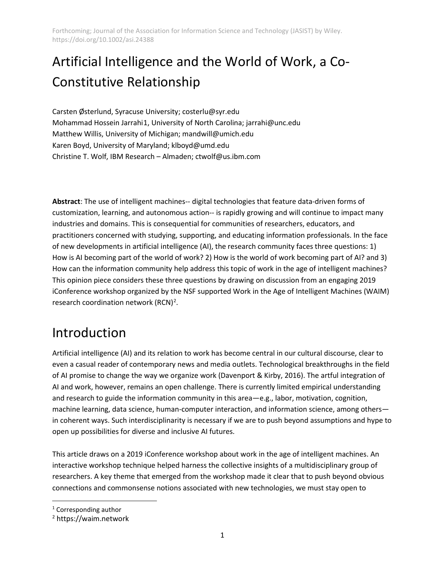# Artificial Intelligence and the World of Work, a Co-Constitutive Relationship

Carsten Østerlund, Syracuse University; [costerlu@syr.edu](mailto:costerlu@syr.edu) Mohammad Hossein Jarrahi[1](#page-0-0), University of North Carolina[; jarrahi@unc.edu](mailto:jarrahi@unc.edu) Matthew Willis, University of Michigan; [mandwill@umich.edu](mailto:mandwill@umich.edu) Karen Boyd, University of Maryland; klboyd@umd.edu Christine T. Wolf, IBM Research – Almaden; ctwolf@us.ibm.com

**Abstract**: The use of intelligent machines-- digital technologies that feature data-driven forms of customization, learning, and autonomous action-- is rapidly growing and will continue to impact many industries and domains. This is consequential for communities of researchers, educators, and practitioners concerned with studying, supporting, and educating information professionals. In the face of new developments in artificial intelligence (AI), the research community faces three questions: 1) How is AI becoming part of the world of work? 2) How is the world of work becoming part of AI? and 3) How can the information community help address this topic of work in the age of intelligent machines? This opinion piece considers these three questions by drawing on discussion from an engaging 2019 iConference workshop organized by the NSF supported Work in the Age of Intelligent Machines (WAIM) research coordination network  $(RCN)^2$  $(RCN)^2$ .

## Introduction

Artificial intelligence (AI) and its relation to work has become central in our cultural discourse, clear to even a casual reader of contemporary news and media outlets. Technological breakthroughs in the field of AI promise to change the way we organize wor[k \(Davenport & Kirby, 2016\).](https://paperpile.com/c/Y4K5Ca/ZCOOG) The artful integration of AI and work, however, remains an open challenge. There is currently limited empirical understanding and research to guide the information community in this area—e.g., labor, motivation, cognition, machine learning, data science, human-computer interaction, and information science, among others in coherent ways. Such interdisciplinarity is necessary if we are to push beyond assumptions and hype to open up possibilities for diverse and inclusive AI futures.

This article draws on a 2019 iConference workshop about work in the age of intelligent machines. An interactive workshop technique helped harness the collective insights of a multidisciplinary group of researchers. A key theme that emerged from the workshop made it clear that to push beyond obvious connections and commonsense notions associated with new technologies, we must stay open to

<span id="page-0-0"></span><sup>1</sup> Corresponding author

<span id="page-0-1"></span><sup>2</sup> https://waim.network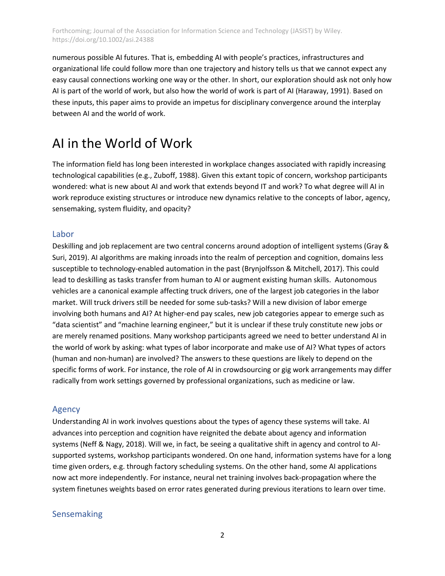numerous possible AI futures. That is, embedding AI with people's practices, infrastructures and organizational life could follow more than one trajectory and history tells us that we cannot expect any easy causal connections working one way or the other. In short, our exploration should ask not only how AI is part of the world of work, but also how the world of work is part of A[I \(Haraway, 1991\)](https://paperpile.com/c/Y4K5Ca/aTlD). Based on these inputs, this paper aims to provide an impetus for disciplinary convergence around the interplay between AI and the world of work.

## AI in the World of Work

The information field has long been interested in workplace changes associated with rapidly increasing technological capabilities [\(e.g., Zuboff, 1988\).](https://paperpile.com/c/Y4K5Ca/z1fka/?prefix=e.g.%2C%20) Given this extant topic of concern, workshop participants wondered: what is new about AI and work that extends beyond IT and work? To what degree will AI in work reproduce existing structures or introduce new dynamics relative to the concepts of labor, agency, sensemaking, system fluidity, and opacity?

## Labor

Deskilling and job replacement are two central concerns around adoption of intelligent systems [\(Gray &](https://paperpile.com/c/Y4K5Ca/wa4KE)  [Suri, 2019\).](https://paperpile.com/c/Y4K5Ca/wa4KE) AI algorithms are making inroads into the realm of perception and cognition, domains less susceptible to technology-enabled automation in the past [\(Brynjolfsson & Mitchell, 2017\).](https://paperpile.com/c/Y4K5Ca/oAtuw) This could lead to deskilling as tasks transfer from human to AI or augment existing human skills. Autonomous vehicles are a canonical example affecting truck drivers, one of the largest job categories in the labor market. Will truck drivers still be needed for some sub-tasks? Will a new division of labor emerge involving both humans and AI? At higher-end pay scales, new job categories appear to emerge such as "data scientist" and "machine learning engineer," but it is unclear if these truly constitute new jobs or are merely renamed positions. Many workshop participants agreed we need to better understand AI in the world of work by asking: what types of labor incorporate and make use of AI? What types of actors (human and non-human) are involved? The answers to these questions are likely to depend on the specific forms of work. For instance, the role of AI in crowdsourcing or gig work arrangements may differ radically from work settings governed by professional organizations, such as medicine or law.

## Agency

Understanding AI in work involves questions about the types of agency these systems will take. AI advances into perception and cognition have reignited the debate about agency and information systems [\(Neff & Nagy, 2018\).](https://paperpile.com/c/Y4K5Ca/NfzWO) Will we, in fact, be seeing a qualitative shift in agency and control to AIsupported systems, workshop participants wondered. On one hand, information systems have for a long time given orders, e.g. through factory scheduling systems. On the other hand, some AI applications now act more independently. For instance, neural net training involves back-propagation where the system finetunes weights based on error rates generated during previous iterations to learn over time.

## Sensemaking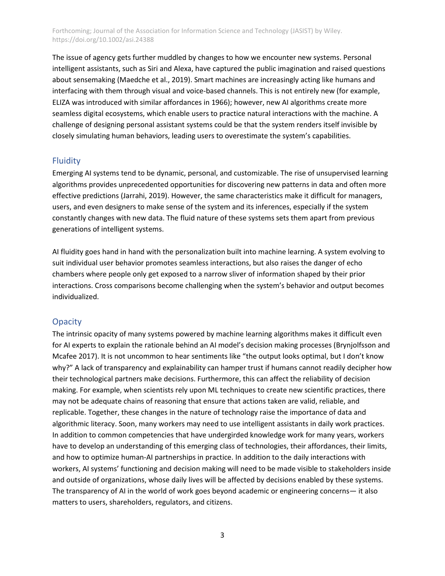The issue of agency gets further muddled by changes to how we encounter new systems. Personal intelligent assistants, such as Siri and Alexa, have captured the public imagination and raised questions about sensemaking [\(Maedche et al., 2019\).](https://paperpile.com/c/Y4K5Ca/EIrwJ) Smart machines are increasingly acting like humans and interfacing with them through visual and voice-based channels. This is not entirely new (for example, ELIZA was introduced with similar affordances in 1966); however, new AI algorithms create more seamless digital ecosystems, which enable users to practice natural interactions with the machine. A challenge of designing personal assistant systems could be that the system renders itself invisible by closely simulating human behaviors, leading users to overestimate the system's capabilities.

#### **Fluidity**

Emerging AI systems tend to be dynamic, personal, and customizable. The rise of unsupervised learning algorithms provides unprecedented opportunities for discovering new patterns in data and often more effective predictions [\(Jarrahi, 2019\).](https://paperpile.com/c/Y4K5Ca/0ygSG) However, the same characteristics make it difficult for managers, users, and even designers to make sense of the system and its inferences, especially if the system constantly changes with new data. The fluid nature of these systems sets them apart from previous generations of intelligent systems.

AI fluidity goes hand in hand with the personalization built into machine learning. A system evolving to suit individual user behavior promotes seamless interactions, but also raises the danger of echo chambers where people only get exposed to a narrow sliver of information shaped by their prior interactions. Cross comparisons become challenging when the system's behavior and output becomes individualized.

#### **Opacity**

The intrinsic opacity of many systems powered by machine learning algorithms makes it difficult even for AI experts to explain the rationale behind an AI model's decision making processes (Brynjolfsson and Mcafee 2017). It is not uncommon to hear sentiments like "the output looks optimal, but I don't know why?" A lack of transparency and explainability can hamper trust if humans cannot readily decipher how their technological partners make decisions. Furthermore, this can affect the reliability of decision making. For example, when scientists rely upon ML techniques to create new scientific practices, there may not be adequate chains of reasoning that ensure that actions taken are valid, reliable, and replicable. Together, these changes in the nature of technology raise the importance of data and algorithmic literacy. Soon, many workers may need to use intelligent assistants in daily work practices. In addition to common competencies that have undergirded knowledge work for many years, workers have to develop an understanding of this emerging class of technologies, their affordances, their limits, and how to optimize human-AI partnerships in practice. In addition to the daily interactions with workers, AI systems' functioning and decision making will need to be made visible to stakeholders inside and outside of organizations, whose daily lives will be affected by decisions enabled by these systems. The transparency of AI in the world of work goes beyond academic or engineering concerns— it also matters to users, shareholders, regulators, and citizens.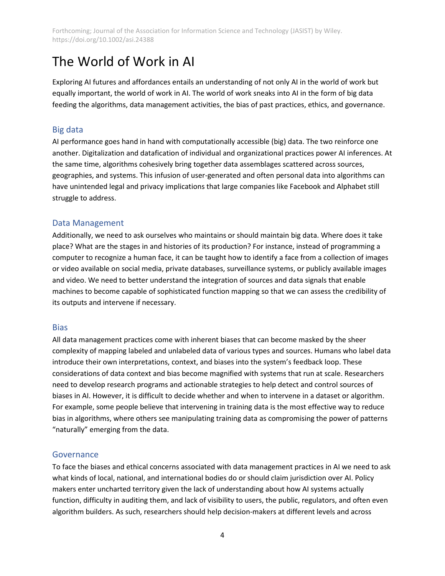## The World of Work in AI

Exploring AI futures and affordances entails an understanding of not only AI in the world of work but equally important, the world of work in AI. The world of work sneaks into AI in the form of big data feeding the algorithms, data management activities, the bias of past practices, ethics, and governance.

## Big data

AI performance goes hand in hand with computationally accessible (big) data. The two reinforce one another. Digitalization and datafication of individual and organizational practices power AI inferences. At the same time, algorithms cohesively bring together data assemblages scattered across sources, geographies, and systems. This infusion of user-generated and often personal data into algorithms can have unintended legal and privacy implications that large companies like Facebook and Alphabet still struggle to address.

## Data Management

Additionally, we need to ask ourselves who maintains or should maintain big data. Where does it take place? What are the stages in and histories of its production? For instance, instead of programming a computer to recognize a human face, it can be taught how to identify a face from a collection of images or video available on social media, private databases, surveillance systems, or publicly available images and video. We need to better understand the integration of sources and data signals that enable machines to become capable of sophisticated function mapping so that we can assess the credibility of its outputs and intervene if necessary.

## **Bias**

All data management practices come with inherent biases that can become masked by the sheer complexity of mapping labeled and unlabeled data of various types and sources. Humans who label data introduce their own interpretations, context, and biases into the system's feedback loop. These considerations of data context and bias become magnified with systems that run at scale. Researchers need to develop research programs and actionable strategies to help detect and control sources of biases in AI. However, it is difficult to decide whether and when to intervene in a dataset or algorithm. For example, some people believe that intervening in training data is the most effective way to reduce bias in algorithms, where others see manipulating training data as compromising the power of patterns "naturally" emerging from the data.

## **Governance**

To face the biases and ethical concerns associated with data management practices in AI we need to ask what kinds of local, national, and international bodies do or should claim jurisdiction over AI. Policy makers enter uncharted territory given the lack of understanding about how AI systems actually function, difficulty in auditing them, and lack of visibility to users, the public, regulators, and often even algorithm builders. As such, researchers should help decision-makers at different levels and across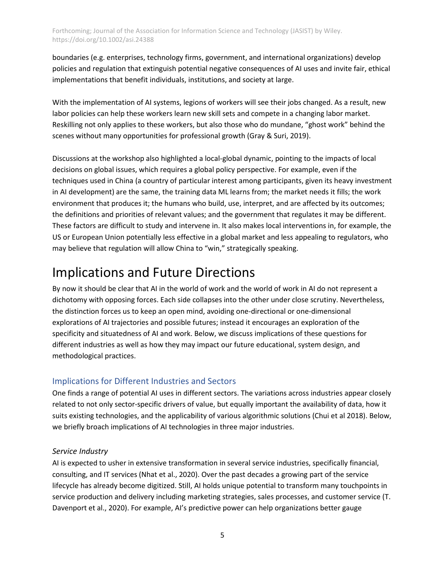boundaries (e.g. enterprises, technology firms, government, and international organizations) develop policies and regulation that extinguish potential negative consequences of AI uses and invite fair, ethical implementations that benefit individuals, institutions, and society at large.

With the implementation of AI systems, legions of workers will see their jobs changed. As a result, new labor policies can help these workers learn new skill sets and compete in a changing labor market. Reskilling not only applies to these workers, but also those who do mundane, "ghost work" behind the scenes without many opportunities for professional growth [\(Gray & Suri, 2019\).](https://paperpile.com/c/Y4K5Ca/wa4KE)

Discussions at the workshop also highlighted a local-global dynamic, pointing to the impacts of local decisions on global issues, which requires a global policy perspective. For example, even if the techniques used in China (a country of particular interest among participants, given its heavy investment in AI development) are the same, the training data ML learns from; the market needs it fills; the work environment that produces it; the humans who build, use, interpret, and are affected by its outcomes; the definitions and priorities of relevant values; and the government that regulates it may be different. These factors are difficult to study and intervene in. It also makes local interventions in, for example, the US or European Union potentially less effective in a global market and less appealing to regulators, who may believe that regulation will allow China to "win," strategically speaking.

## Implications and Future Directions

By now it should be clear that AI in the world of work and the world of work in AI do not represent a dichotomy with opposing forces. Each side collapses into the other under close scrutiny. Nevertheless, the distinction forces us to keep an open mind, avoiding one-directional or one-dimensional explorations of AI trajectories and possible futures; instead it encourages an exploration of the specificity and situatedness of AI and work. Below, we discuss implications of these questions for different industries as well as how they may impact our future educational, system design, and methodological practices.

## Implications for Different Industries and Sectors

One finds a range of potential AI uses in different sectors. The variations across industries appear closely related to not only sector-specific drivers of value, but equally important the availability of data, how it suits existing technologies, and the applicability of various algorithmic solutions (Chui et al 2018). Below, we briefly broach implications of AI technologies in three major industries.

## *Service Industry*

AI is expected to usher in extensive transformation in several service industries, specifically financial, consulting, and IT services [\(Nhat et al., 2020\).](https://paperpile.com/c/Y4K5Ca/ntj5) Over the past decades a growing part of the service lifecycle has already become digitized. Still, AI holds unique potential to transform many touchpoints in service production and delivery including marketing strategies, sales processes, and customer service [\(T.](https://paperpile.com/c/Y4K5Ca/LgwG)  [Davenport et al., 2020\).](https://paperpile.com/c/Y4K5Ca/LgwG) For example, AI's predictive power can help organizations better gauge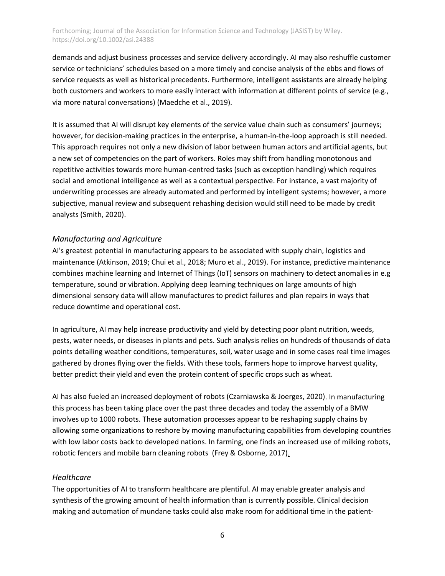demands and adjust business processes and service delivery accordingly. AI may also reshuffle customer service or technicians' schedules based on a more timely and concise analysis of the ebbs and flows of service requests as well as historical precedents. Furthermore, intelligent assistants are already helping both customers and workers to more easily interact with information at different points of service (e.g., via more natural conversations) [\(Maedche et al., 2019\).](https://paperpile.com/c/Y4K5Ca/EIrwJ)

It is assumed that AI will disrupt key elements of the service value chain such as consumers' journeys; however, for decision-making practices in the enterprise, a human-in-the-loop approach is still needed. This approach requires not only a new division of labor between human actors and artificial agents, but a new set of competencies on the part of workers. Roles may shift from handling monotonous and repetitive activities towards more human-centred tasks (such as exception handling) which requires social and emotional intelligence as well as a contextual perspective. For instance, a vast majority of underwriting processes are already automated and performed by intelligent systems; however, a more subjective, manual review and subsequent rehashing decision would still need to be made by credit analyst[s \(Smith, 2020\).](https://paperpile.com/c/Y4K5Ca/3Bfj)

#### *Manufacturing and Agriculture*

AI's greatest potential in manufacturing appears to be associated with supply chain, logistics and maintenance [\(Atkinson, 2019; Chui et al., 2018; Muro et al., 2019\).](https://paperpile.com/c/Y4K5Ca/YAbY+Vb3Z+U9R1) For instance, predictive maintenance combines machine learning and Internet of Things (IoT) sensors on machinery to detect anomalies in e.g temperature, sound or vibration. Applying deep learning techniques on large amounts of high dimensional sensory data will allow manufactures to predict failures and plan repairs in ways that reduce downtime and operational cost.

In agriculture, AI may help increase productivity and yield by detecting poor plant nutrition, weeds, pests, water needs, or diseases in plants and pets. Such analysis relies on hundreds of thousands of data points detailing weather conditions, temperatures, soil, water usage and in some cases real time images gathered by drones flying over the fields. With these tools, farmers hope to improve harvest quality, better predict their yield and even the protein content of specific crops such as wheat.

AI has also fueled an increased deployment of robot[s \(Czarniawska & Joerges, 2020\).](https://paperpile.com/c/Y4K5Ca/Oqek) In manufacturing this process has been taking place over the past three decades and today the assembly of a BMW involves up to 1000 robots. These automation processes appear to be reshaping supply chains by allowing some organizations to reshore by moving manufacturing capabilities from developing countries with low labor costs back to developed nations. In farming, one finds an increased use of milking robots, robotic fencers and mobile barn cleaning robots [\(Frey & Osborne, 2017\)](https://paperpile.com/c/Y4K5Ca/l6rd).

#### *Healthcare*

The opportunities of AI to transform healthcare are plentiful. AI may enable greater analysis and synthesis of the growing amount of health information than is currently possible. Clinical decision making and automation of mundane tasks could also make room for additional time in the patient-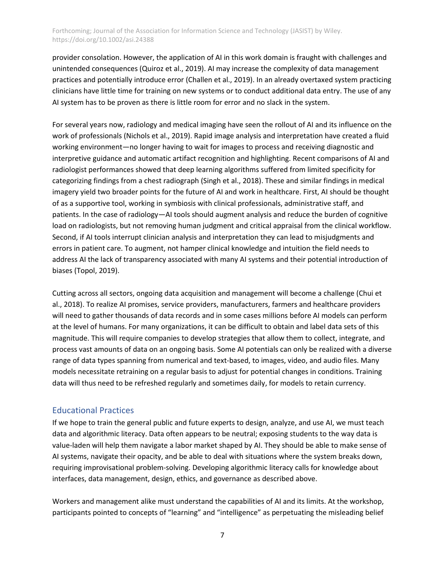provider consolation. However, the application of AI in this work domain is fraught with challenges and unintended consequences [\(Quiroz et al., 2019\).](https://paperpile.com/c/Y4K5Ca/hbPn) AI may increase the complexity of data management practices and potentially introduce erro[r \(Challen et al., 2019\).](https://paperpile.com/c/Y4K5Ca/wXu7) In an already overtaxed system practicing clinicians have little time for training on new systems or to conduct additional data entry. The use of any AI system has to be proven as there is little room for error and no slack in the system.

For several years now, radiology and medical imaging have seen the rollout of AI and its influence on the work of professionals [\(Nichols et al., 2019\).](https://paperpile.com/c/Y4K5Ca/Qhg2) Rapid image analysis and interpretation have created a fluid working environment—no longer having to wait for images to process and receiving diagnostic and interpretive guidance and automatic artifact recognition and highlighting. Recent comparisons of AI and radiologist performances showed that deep learning algorithms suffered from limited specificity for categorizing findings from a chest radiograph [\(Singh et al., 2018\).](https://paperpile.com/c/Y4K5Ca/yOcP) These and similar findings in medical imagery yield two broader points for the future of AI and work in healthcare. First, AI should be thought of as a supportive tool, working in symbiosis with clinical professionals, administrative staff, and patients. In the case of radiology—AI tools should augment analysis and reduce the burden of cognitive load on radiologists, but not removing human judgment and critical appraisal from the clinical workflow. Second, if AI tools interrupt clinician analysis and interpretation they can lead to misjudgments and errors in patient care. To augment, not hamper clinical knowledge and intuition the field needs to address AI the lack of transparency associated with many AI systems and their potential introduction of biases [\(Topol, 2019\).](https://paperpile.com/c/Y4K5Ca/K9Oc)

Cutting across all sectors, ongoing data acquisition and management will become a challenge [\(Chui et](https://paperpile.com/c/Y4K5Ca/U9R1)  [al., 2018\).](https://paperpile.com/c/Y4K5Ca/U9R1) To realize AI promises, service providers, manufacturers, farmers and healthcare providers will need to gather thousands of data records and in some cases millions before AI models can perform at the level of humans. For many organizations, it can be difficult to obtain and label data sets of this magnitude. This will require companies to develop strategies that allow them to collect, integrate, and process vast amounts of data on an ongoing basis. Some AI potentials can only be realized with a diverse range of data types spanning from numerical and text-based, to images, video, and audio files. Many models necessitate retraining on a regular basis to adjust for potential changes in conditions. Training data will thus need to be refreshed regularly and sometimes daily, for models to retain currency.

## Educational Practices

If we hope to train the general public and future experts to design, analyze, and use AI, we must teach data and algorithmic literacy. Data often appears to be neutral; exposing students to the way data is value-laden will help them navigate a labor market shaped by AI. They should be able to make sense of AI systems, navigate their opacity, and be able to deal with situations where the system breaks down, requiring improvisational problem-solving. Developing algorithmic literacy calls for knowledge about interfaces, data management, design, ethics, and governance as described above.

Workers and management alike must understand the capabilities of AI and its limits. At the workshop, participants pointed to concepts of "learning" and "intelligence" as perpetuating the misleading belief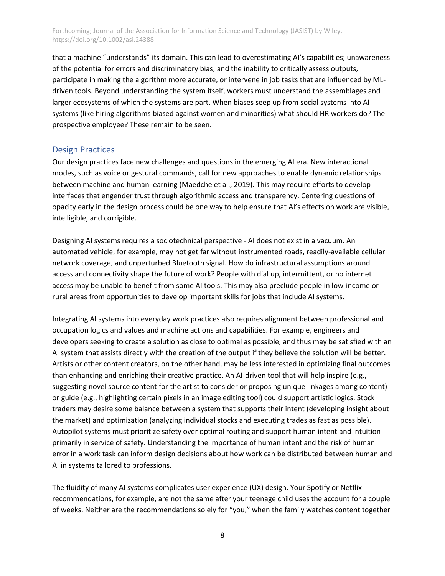that a machine "understands" its domain. This can lead to overestimating AI's capabilities; unawareness of the potential for errors and discriminatory bias; and the inability to critically assess outputs, participate in making the algorithm more accurate, or intervene in job tasks that are influenced by MLdriven tools. Beyond understanding the system itself, workers must understand the assemblages and larger ecosystems of which the systems are part. When biases seep up from social systems into AI systems (like hiring algorithms biased against women and minorities) what should HR workers do? The prospective employee? These remain to be seen.

#### Design Practices

Our design practices face new challenges and questions in the emerging AI era. New interactional modes, such as voice or gestural commands, call for new approaches to enable dynamic relationships between machine and human learning [\(Maedche et al., 2019\).](https://paperpile.com/c/Y4K5Ca/EIrwJ) This may require efforts to develop interfaces that engender trust through algorithmic access and transparency. Centering questions of opacity early in the design process could be one way to help ensure that AI's effects on work are visible, intelligible, and corrigible.

Designing AI systems requires a sociotechnical perspective - AI does not exist in a vacuum. An automated vehicle, for example, may not get far without instrumented roads, readily-available cellular network coverage, and unperturbed Bluetooth signal. How do infrastructural assumptions around access and connectivity shape the future of work? People with dial up, intermittent, or no internet access may be unable to benefit from some AI tools. This may also preclude people in low-income or rural areas from opportunities to develop important skills for jobs that include AI systems.

Integrating AI systems into everyday work practices also requires alignment between professional and occupation logics and values and machine actions and capabilities. For example, engineers and developers seeking to create a solution as close to optimal as possible, and thus may be satisfied with an AI system that assists directly with the creation of the output if they believe the solution will be better. Artists or other content creators, on the other hand, may be less interested in optimizing final outcomes than enhancing and enriching their creative practice. An AI-driven tool that will help inspire (e.g., suggesting novel source content for the artist to consider or proposing unique linkages among content) or guide (e.g., highlighting certain pixels in an image editing tool) could support artistic logics. Stock traders may desire some balance between a system that supports their intent (developing insight about the market) and optimization (analyzing individual stocks and executing trades as fast as possible). Autopilot systems must prioritize safety over optimal routing and support human intent and intuition primarily in service of safety. Understanding the importance of human intent and the risk of human error in a work task can inform design decisions about how work can be distributed between human and AI in systems tailored to professions.

The fluidity of many AI systems complicates user experience (UX) design. Your Spotify or Netflix recommendations, for example, are not the same after your teenage child uses the account for a couple of weeks. Neither are the recommendations solely for "you," when the family watches content together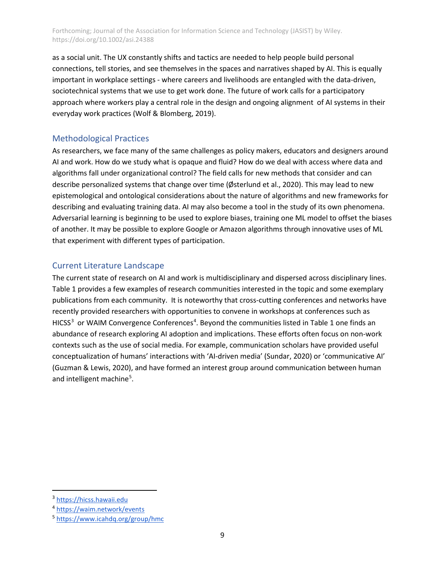as a social unit. The UX constantly shifts and tactics are needed to help people build personal connections, tell stories, and see themselves in the spaces and narratives shaped by AI. This is equally important in workplace settings - where careers and livelihoods are entangled with the data-driven, sociotechnical systems that we use to get work done. The future of work calls for a participatory approach where workers play a central role in the design and ongoing alignment of AI systems in their everyday work practices [\(Wolf & Blomberg, 2019\).](https://paperpile.com/c/Y4K5Ca/spJMv)

## Methodological Practices

As researchers, we face many of the same challenges as policy makers, educators and designers around AI and work. How do we study what is opaque and fluid? How do we deal with access where data and algorithms fall under organizational control? The field calls for new methods that consider and can describe personalized systems that change over time [\(Østerlund et al., 2020\).](https://paperpile.com/c/Y4K5Ca/5SRW) This may lead to new epistemological and ontological considerations about the nature of algorithms and new frameworks for describing and evaluating training data. AI may also become a tool in the study of its own phenomena. Adversarial learning is beginning to be used to explore biases, training one ML model to offset the biases of another. It may be possible to explore Google or Amazon algorithms through innovative uses of ML that experiment with different types of participation.

## Current Literature Landscape

The current state of research on AI and work is multidisciplinary and dispersed across disciplinary lines. Table 1 provides a few examples of research communities interested in the topic and some exemplary publications from each community. It is noteworthy that cross-cutting conferences and networks have recently provided researchers with opportunities to convene in workshops at conferences such as HICSS<sup>[3](#page-8-0)</sup> or WAIM Convergence Conferences<sup>[4](#page-8-1)</sup>. Beyond the communities listed in Table 1 one finds an abundance of research exploring AI adoption and implications. These efforts often focus on non-work contexts such as the use of social media. For example, communication scholars have provided useful conceptualization of humans' interactions with 'AI-driven media[' \(Sundar, 2020\)](https://paperpile.com/c/Y4K5Ca/32y5) or 'communicative AI' [\(Guzman & Lewis, 2020\),](https://paperpile.com/c/Y4K5Ca/ZXwi) and have formed an interest group around communication between human and intelligent machine<sup>[5](#page-8-2)</sup>.

<span id="page-8-0"></span><sup>3</sup> [https://hicss.hawaii.edu](https://hicss.hawaii.edu/)

<span id="page-8-1"></span><sup>4</sup> <https://waim.network/events>

<span id="page-8-2"></span><sup>5</sup> <https://www.icahdq.org/group/hmc>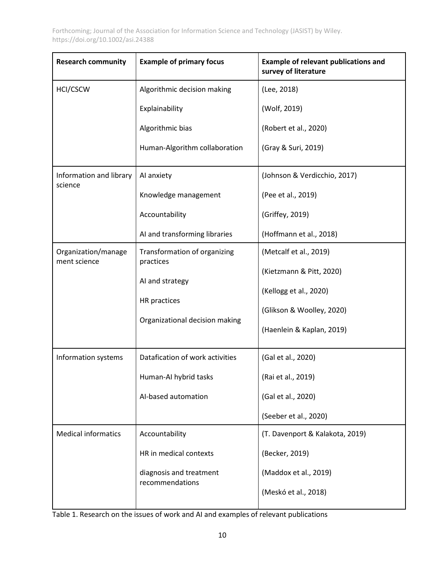| <b>Research community</b>           | <b>Example of primary focus</b>                                   | <b>Example of relevant publications and</b><br>survey of literature |
|-------------------------------------|-------------------------------------------------------------------|---------------------------------------------------------------------|
| HCI/CSCW                            | Algorithmic decision making                                       | (Lee, 2018)                                                         |
|                                     | Explainability                                                    | (Wolf, 2019)                                                        |
|                                     | Algorithmic bias                                                  | (Robert et al., 2020)                                               |
|                                     | Human-Algorithm collaboration                                     | (Gray & Suri, 2019)                                                 |
| Information and library<br>science  | Al anxiety                                                        | (Johnson & Verdicchio, 2017)                                        |
|                                     | Knowledge management                                              | (Pee et al., 2019)                                                  |
|                                     | Accountability                                                    | (Griffey, 2019)                                                     |
|                                     | AI and transforming libraries                                     | (Hoffmann et al., 2018)                                             |
| Organization/manage<br>ment science | Transformation of organizing<br>practices                         | (Metcalf et al., 2019)                                              |
|                                     | AI and strategy<br>HR practices<br>Organizational decision making | (Kietzmann & Pitt, 2020)                                            |
|                                     |                                                                   | (Kellogg et al., 2020)                                              |
|                                     |                                                                   | (Glikson & Woolley, 2020)                                           |
|                                     |                                                                   | (Haenlein & Kaplan, 2019)                                           |
| Information systems                 | Datafication of work activities                                   | (Gal et al., 2020)                                                  |
|                                     | Human-AI hybrid tasks                                             | (Rai et al., 2019)                                                  |
|                                     | Al-based automation                                               | (Gal et al., 2020)                                                  |
|                                     |                                                                   | (Seeber et al., 2020)                                               |
| <b>Medical informatics</b>          | Accountability                                                    | (T. Davenport & Kalakota, 2019)                                     |
|                                     | HR in medical contexts                                            | (Becker, 2019)                                                      |
|                                     | diagnosis and treatment<br>recommendations                        | (Maddox et al., 2019)                                               |
|                                     |                                                                   | (Meskó et al., 2018)                                                |

Table 1. Research on the issues of work and AI and examples of relevant publications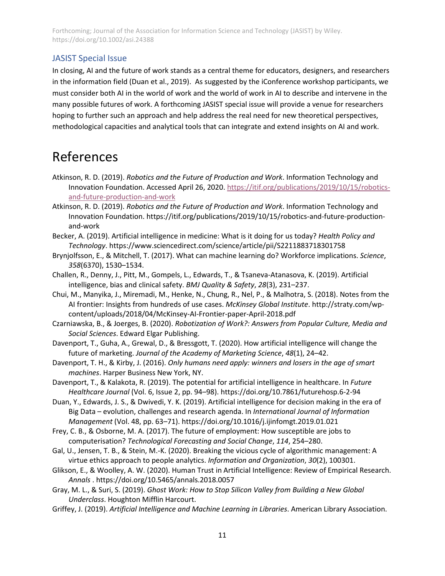## JASIST Special Issue

In closing, AI and the future of work stands as a central theme for educators, designers, and researchers in the information field [\(Duan et al., 2019\).](https://paperpile.com/c/Y4K5Ca/a8p0) As suggested by the iConference workshop participants, we must consider both AI in the world of work and the world of work in AI to describe and intervene in the many possible futures of work. A forthcoming JASIST special issue will provide a venue for researchers hoping to further such an approach and help address the real need for new theoretical perspectives, methodological capacities and analytical tools that can integrate and extend insights on AI and work.

## References

- Atkinson, R. D. (2019). *Robotics and the Future of Production and Work*. Information Technology and Innovation Foundation. Accessed April 26, 2020[. https://itif.org/publications/2019/10/15/robotics](https://itif.org/publications/2019/10/15/robotics-and-future-production-and-work)[and-future-production-and-work](https://itif.org/publications/2019/10/15/robotics-and-future-production-and-work)
- [Atkinson, R. D. \(2019\).](http://paperpile.com/b/Y4K5Ca/Vb3Z) *[Robotics and the Future of Production and Work](http://paperpile.com/b/Y4K5Ca/Vb3Z)*[. Information Technology and](http://paperpile.com/b/Y4K5Ca/Vb3Z)  [Innovation Foundation.](http://paperpile.com/b/Y4K5Ca/Vb3Z) [https://itif.org/publications/2019/10/15/robotics-and-future-production](https://itif.org/publications/2019/10/15/robotics-and-future-production-and-work)[and-work](https://itif.org/publications/2019/10/15/robotics-and-future-production-and-work)
- [Becker, A. \(2019\). Artificial intelligence in medicine: What is it doing for us today?](http://paperpile.com/b/Y4K5Ca/CxVc) *[Health Policy and](http://paperpile.com/b/Y4K5Ca/CxVc)  [Technology](http://paperpile.com/b/Y4K5Ca/CxVc)*[.](http://paperpile.com/b/Y4K5Ca/CxVc) <https://www.sciencedirect.com/science/article/pii/S2211883718301758>
- [Brynjolfsson, E., & Mitchell, T. \(2017\). What can machine learning do? Workforce implications.](http://paperpile.com/b/Y4K5Ca/oAtuw) *[Science](http://paperpile.com/b/Y4K5Ca/oAtuw)*[,](http://paperpile.com/b/Y4K5Ca/oAtuw)  *[358](http://paperpile.com/b/Y4K5Ca/oAtuw)*[\(6370\), 1530–1534.](http://paperpile.com/b/Y4K5Ca/oAtuw)
- [Challen, R., Denny, J., Pitt, M., Gompels, L., Edwards, T., & Tsaneva-Atanasova, K. \(2019\). Artificial](http://paperpile.com/b/Y4K5Ca/wXu7)  [intelligence, bias and clinical safety.](http://paperpile.com/b/Y4K5Ca/wXu7) *[BMJ Quality & Safety](http://paperpile.com/b/Y4K5Ca/wXu7)*[,](http://paperpile.com/b/Y4K5Ca/wXu7) *[28](http://paperpile.com/b/Y4K5Ca/wXu7)*[\(3\), 231–237.](http://paperpile.com/b/Y4K5Ca/wXu7)
- [Chui, M., Manyika, J., Miremadi, M., Henke, N., Chung, R., Nel, P., & Malhotra, S. \(2018\). Notes from the](http://paperpile.com/b/Y4K5Ca/U9R1)  [AI frontier: Insights from hundreds of use cases.](http://paperpile.com/b/Y4K5Ca/U9R1) *[McKinsey Global Institute](http://paperpile.com/b/Y4K5Ca/U9R1)*[.](http://paperpile.com/b/Y4K5Ca/U9R1) [http://straty.com/wp](http://straty.com/wp-content/uploads/2018/04/McKinsey-AI-Frontier-paper-April-2018.pdf)[content/uploads/2018/04/McKinsey-AI-Frontier-paper-April-2018.pdf](http://straty.com/wp-content/uploads/2018/04/McKinsey-AI-Frontier-paper-April-2018.pdf)
- [Czarniawska, B., & Joerges, B. \(2020\).](http://paperpile.com/b/Y4K5Ca/Oqek) *[Robotization of Work?: Answers from Popular Culture, Media and](http://paperpile.com/b/Y4K5Ca/Oqek)  [Social Sciences](http://paperpile.com/b/Y4K5Ca/Oqek)*[. Edward Elgar Publishing.](http://paperpile.com/b/Y4K5Ca/Oqek)
- [Davenport, T., Guha, A., Grewal, D., & Bressgott, T. \(2020\). How artificial intelligence will change the](http://paperpile.com/b/Y4K5Ca/LgwG)  [future of marketing.](http://paperpile.com/b/Y4K5Ca/LgwG) *[Journal of the Academy of Marketing Science](http://paperpile.com/b/Y4K5Ca/LgwG)*[,](http://paperpile.com/b/Y4K5Ca/LgwG) *[48](http://paperpile.com/b/Y4K5Ca/LgwG)*[\(1\), 24–42.](http://paperpile.com/b/Y4K5Ca/LgwG)
- [Davenport, T. H., & Kirby, J. \(2016\).](http://paperpile.com/b/Y4K5Ca/ZCOOG) *[Only humans need apply: winners and losers in the age of smart](http://paperpile.com/b/Y4K5Ca/ZCOOG)  [machines](http://paperpile.com/b/Y4K5Ca/ZCOOG)*[. Harper Business](http://paperpile.com/b/Y4K5Ca/ZCOOG) New York, NY.
- [Davenport, T., & Kalakota, R. \(2019\). The potential for artificial intelligence in healthcare. In](http://paperpile.com/b/Y4K5Ca/8DxH) *[Future](http://paperpile.com/b/Y4K5Ca/8DxH)  [Healthcare Journal](http://paperpile.com/b/Y4K5Ca/8DxH)* [\(Vol. 6, Issue 2, pp. 94–98\). https://doi.org/](http://paperpile.com/b/Y4K5Ca/8DxH)[10.7861/futurehosp.6-2-94](http://dx.doi.org/10.7861/futurehosp.6-2-94)
- [Duan, Y., Edwards, J. S., & Dwivedi, Y. K. \(2019\). Artificial intelligence for decision making in the era of](http://paperpile.com/b/Y4K5Ca/a8p0)  Big Data – [evolution, challenges and research agenda. In](http://paperpile.com/b/Y4K5Ca/a8p0) *[International Journal of Information](http://paperpile.com/b/Y4K5Ca/a8p0)  [Management](http://paperpile.com/b/Y4K5Ca/a8p0)* [\(Vol. 48, pp. 63–71\). https://doi.org/](http://paperpile.com/b/Y4K5Ca/a8p0)[10.1016/j.ijinfomgt.2019.01.021](http://dx.doi.org/10.1016/j.ijinfomgt.2019.01.021)
- [Frey, C. B., & Osborne, M. A. \(2017\). The future of employment: How susceptible are jobs to](http://paperpile.com/b/Y4K5Ca/l6rd)  [computerisation?](http://paperpile.com/b/Y4K5Ca/l6rd) *[Technological Forecasting and Social Change](http://paperpile.com/b/Y4K5Ca/l6rd)*[,](http://paperpile.com/b/Y4K5Ca/l6rd) *[114](http://paperpile.com/b/Y4K5Ca/l6rd)*[, 254–280.](http://paperpile.com/b/Y4K5Ca/l6rd)
- Gal, U., Jensen, T. [B., & Stein, M.-K. \(2020\). Breaking the vicious cycle of algorithmic management: A](http://paperpile.com/b/Y4K5Ca/SOxu)  [virtue ethics approach to people analytics.](http://paperpile.com/b/Y4K5Ca/SOxu) *[Information and Organization](http://paperpile.com/b/Y4K5Ca/SOxu)*[,](http://paperpile.com/b/Y4K5Ca/SOxu) *[30](http://paperpile.com/b/Y4K5Ca/SOxu)*[\(2\), 100301.](http://paperpile.com/b/Y4K5Ca/SOxu)
- [Glikson, E., & Woolley, A. W. \(2020\). Human Trust in Artificial Intelligence: Review of Empirical Research.](http://paperpile.com/b/Y4K5Ca/oxeV)  *[Annals](http://paperpile.com/b/Y4K5Ca/oxeV)* [. https://doi.org/](http://paperpile.com/b/Y4K5Ca/oxeV)[10.5465/annals.2018.0057](http://dx.doi.org/10.5465/annals.2018.0057)
- [Gray, M. L., & Suri, S. \(2019\).](http://paperpile.com/b/Y4K5Ca/wa4KE) *[Ghost Work: How to Stop Silicon Valley from Building a New Global](http://paperpile.com/b/Y4K5Ca/wa4KE)  [Underclass](http://paperpile.com/b/Y4K5Ca/wa4KE)*[. Houghton Mifflin Harcourt.](http://paperpile.com/b/Y4K5Ca/wa4KE)
- [Griffey, J. \(2019\).](http://paperpile.com/b/Y4K5Ca/IWwE) *[Artificial Intelligence and Machine Learning in Libraries](http://paperpile.com/b/Y4K5Ca/IWwE)*[. American Library Association.](http://paperpile.com/b/Y4K5Ca/IWwE)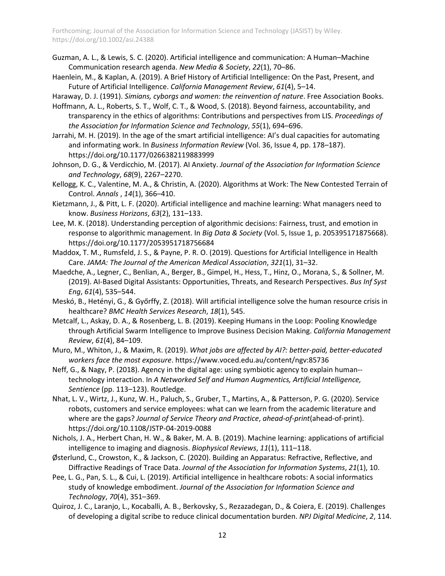- [Guzman, A. L., & Lewis, S. C. \(2020\). Artificial intelligence and communication: A Human–Machine](http://paperpile.com/b/Y4K5Ca/ZXwi)  [Communication research agenda.](http://paperpile.com/b/Y4K5Ca/ZXwi) *[New Media & Society](http://paperpile.com/b/Y4K5Ca/ZXwi)*[,](http://paperpile.com/b/Y4K5Ca/ZXwi) *[22](http://paperpile.com/b/Y4K5Ca/ZXwi)*[\(1\), 70–86.](http://paperpile.com/b/Y4K5Ca/ZXwi)
- [Haenlein, M., & Kaplan, A. \(2019\). A Brief History of Artificial Intelligence: On the Past, Present, and](http://paperpile.com/b/Y4K5Ca/XHk0)  [Future of Artificial Intelligence.](http://paperpile.com/b/Y4K5Ca/XHk0) *[California Management Review](http://paperpile.com/b/Y4K5Ca/XHk0)*[,](http://paperpile.com/b/Y4K5Ca/XHk0) *[61](http://paperpile.com/b/Y4K5Ca/XHk0)*[\(4\), 5–14.](http://paperpile.com/b/Y4K5Ca/XHk0)
- [Haraway, D. J. \(1991\).](http://paperpile.com/b/Y4K5Ca/aTlD) *[Simians, cyborgs and women: the reinvention of nature](http://paperpile.com/b/Y4K5Ca/aTlD)*[. Free Association Books.](http://paperpile.com/b/Y4K5Ca/aTlD)
- [Hoffmann, A. L., Roberts, S. T., Wolf, C. T., & Wood, S. \(2018\). Beyond fairness, accountability, and](http://paperpile.com/b/Y4K5Ca/AVUG)  [transparency in the ethics of algorithms: Contributions and perspectives from LIS.](http://paperpile.com/b/Y4K5Ca/AVUG) *[Proceedings of](http://paperpile.com/b/Y4K5Ca/AVUG)  [the Association for Information Science and Technology](http://paperpile.com/b/Y4K5Ca/AVUG)*[,](http://paperpile.com/b/Y4K5Ca/AVUG) *[55](http://paperpile.com/b/Y4K5Ca/AVUG)*[\(1\), 694–696.](http://paperpile.com/b/Y4K5Ca/AVUG)
- [Jarrahi, M. H. \(2019\). In the age of the smart artificial intelligence: AI's dual capacities for automating](http://paperpile.com/b/Y4K5Ca/0ygSG)  [and informating work. In](http://paperpile.com/b/Y4K5Ca/0ygSG) *[Business Information Review](http://paperpile.com/b/Y4K5Ca/0ygSG)* [\(Vol. 36, Issue 4, pp. 178–187\).](http://paperpile.com/b/Y4K5Ca/0ygSG)  [https://doi.org/](http://paperpile.com/b/Y4K5Ca/0ygSG)[10.1177/0266382119883999](http://dx.doi.org/10.1177/0266382119883999)
- [Johnson, D. G., & Verdicchio, M. \(2017\). AI Anxiety.](http://paperpile.com/b/Y4K5Ca/P8sK) *[Journal of the Association for Information Science](http://paperpile.com/b/Y4K5Ca/P8sK)  [and Technology](http://paperpile.com/b/Y4K5Ca/P8sK)*[,](http://paperpile.com/b/Y4K5Ca/P8sK) *[68](http://paperpile.com/b/Y4K5Ca/P8sK)*[\(9\), 2267–2270.](http://paperpile.com/b/Y4K5Ca/P8sK)
- [Kellogg, K. C., Valentine, M. A., & Christin, A. \(2020\). Algorithms at Work: The New Contested Terrain of](http://paperpile.com/b/Y4K5Ca/xkIM)  [Control.](http://paperpile.com/b/Y4K5Ca/xkIM) *[Annals](http://paperpile.com/b/Y4K5Ca/xkIM)* [,](http://paperpile.com/b/Y4K5Ca/xkIM) *[14](http://paperpile.com/b/Y4K5Ca/xkIM)*[\(1\), 366–410.](http://paperpile.com/b/Y4K5Ca/xkIM)
- [Kietzmann, J., & Pitt, L. F. \(2020\). Artificial intelligence and machine learning: What managers need to](http://paperpile.com/b/Y4K5Ca/o1uQ)  [know.](http://paperpile.com/b/Y4K5Ca/o1uQ) *[Business Horizons](http://paperpile.com/b/Y4K5Ca/o1uQ)*[,](http://paperpile.com/b/Y4K5Ca/o1uQ) *[63](http://paperpile.com/b/Y4K5Ca/o1uQ)*[\(2\), 131–133.](http://paperpile.com/b/Y4K5Ca/o1uQ)
- [Lee, M. K. \(2018\). Understanding perception of algorithmic decisions: Fairness, trust, and emotion in](http://paperpile.com/b/Y4K5Ca/xSh0)  [response to algorithmic management. In](http://paperpile.com/b/Y4K5Ca/xSh0) *[Big Data & Society](http://paperpile.com/b/Y4K5Ca/xSh0)* [\(Vol. 5, Issue 1, p. 205395171875668\).](http://paperpile.com/b/Y4K5Ca/xSh0)  [https://doi.org/](http://paperpile.com/b/Y4K5Ca/xSh0)[10.1177/2053951718756684](http://dx.doi.org/10.1177/2053951718756684)
- [Maddox, T. M., Rumsfeld, J. S., & Payne, P. R. O. \(2019\). Questions for Artificial Intelligence in Health](http://paperpile.com/b/Y4K5Ca/Veen)  [Care.](http://paperpile.com/b/Y4K5Ca/Veen) *[JAMA: The Journal of the American Medical Association](http://paperpile.com/b/Y4K5Ca/Veen)*[,](http://paperpile.com/b/Y4K5Ca/Veen) *[321](http://paperpile.com/b/Y4K5Ca/Veen)*[\(1\), 31–32.](http://paperpile.com/b/Y4K5Ca/Veen)
- [Maedche, A., Legner, C., Benlian, A., Berger, B., Gimpel, H., Hess, T., Hinz, O., Morana, S., & Sollner, M.](http://paperpile.com/b/Y4K5Ca/EIrwJ)  [\(2019\). AI-Based Digital Assistants: Opportunities, Threats, and Research Perspectives.](http://paperpile.com/b/Y4K5Ca/EIrwJ) *[Bus Inf Syst](http://paperpile.com/b/Y4K5Ca/EIrwJ)  [Eng](http://paperpile.com/b/Y4K5Ca/EIrwJ)*[,](http://paperpile.com/b/Y4K5Ca/EIrwJ) *[61](http://paperpile.com/b/Y4K5Ca/EIrwJ)*[\(4\), 535–544.](http://paperpile.com/b/Y4K5Ca/EIrwJ)
- Meskó, B., Hetényi, G., & Győrffy, Z. (2018). Will art[ificial intelligence solve the human resource crisis in](http://paperpile.com/b/Y4K5Ca/8p45)  [healthcare?](http://paperpile.com/b/Y4K5Ca/8p45) *[BMC Health Services Research](http://paperpile.com/b/Y4K5Ca/8p45)*[,](http://paperpile.com/b/Y4K5Ca/8p45) *[18](http://paperpile.com/b/Y4K5Ca/8p45)*[\(1\), 545.](http://paperpile.com/b/Y4K5Ca/8p45)
- [Metcalf, L., Askay, D. A., & Rosenberg, L. B. \(2019\). Keeping Humans in the Loop: Pooling Knowledge](http://paperpile.com/b/Y4K5Ca/d6KB)  [through Artificial Swarm Intelligence to Improve Business Decision Making.](http://paperpile.com/b/Y4K5Ca/d6KB) *[California Management](http://paperpile.com/b/Y4K5Ca/d6KB)  [Review](http://paperpile.com/b/Y4K5Ca/d6KB)*[,](http://paperpile.com/b/Y4K5Ca/d6KB) *[61](http://paperpile.com/b/Y4K5Ca/d6KB)*[\(4\), 84–109.](http://paperpile.com/b/Y4K5Ca/d6KB)
- [Muro, M., Whiton, J., & Maxim, R. \(2019\).](http://paperpile.com/b/Y4K5Ca/YAbY) *[What jobs are affected by AI?: better-paid, better-educated](http://paperpile.com/b/Y4K5Ca/YAbY)  [workers face the most exposure](http://paperpile.com/b/Y4K5Ca/YAbY)*[.](http://paperpile.com/b/Y4K5Ca/YAbY) <https://www.voced.edu.au/content/ngv:85736>
- [Neff, G., & Nagy, P. \(2018\). Agency in the digital age: using symbiotic agency to explain human-](http://paperpile.com/b/Y4K5Ca/NfzWO) [technology interaction. In](http://paperpile.com/b/Y4K5Ca/NfzWO) *[A Networked Self and Human Augmentics, Artificial Intelligence,](http://paperpile.com/b/Y4K5Ca/NfzWO)  [Sentience](http://paperpile.com/b/Y4K5Ca/NfzWO)* [\(pp. 113–123\). Routledge.](http://paperpile.com/b/Y4K5Ca/NfzWO)
- [Nhat, L. V., Wirtz, J., Kunz, W. H., Paluch, S., Gruber, T., Martins, A., & Patterson, P. G. \(2020\). Service](http://paperpile.com/b/Y4K5Ca/ntj5)  [robots, customers and service employees: what can we learn from the academic literature and](http://paperpile.com/b/Y4K5Ca/ntj5)  [where are the gaps?](http://paperpile.com/b/Y4K5Ca/ntj5) *[Journal of Service Theory and Practice](http://paperpile.com/b/Y4K5Ca/ntj5)*[,](http://paperpile.com/b/Y4K5Ca/ntj5) *[ahead-of-print](http://paperpile.com/b/Y4K5Ca/ntj5)*[\(ahead-of-print\).](http://paperpile.com/b/Y4K5Ca/ntj5)  [https://doi.org/](http://paperpile.com/b/Y4K5Ca/ntj5)[10.1108/JSTP-04-2019-0088](http://dx.doi.org/10.1108/JSTP-04-2019-0088)
- [Nichols, J. A., Herbert Chan, H. W., & Baker, M. A. B. \(2019\). Machine learning: applications of artificial](http://paperpile.com/b/Y4K5Ca/Qhg2)  [intelligence to imaging and diagnosis.](http://paperpile.com/b/Y4K5Ca/Qhg2) *[Biophysical Reviews](http://paperpile.com/b/Y4K5Ca/Qhg2)*[,](http://paperpile.com/b/Y4K5Ca/Qhg2) *[11](http://paperpile.com/b/Y4K5Ca/Qhg2)*[\(1\), 111–118.](http://paperpile.com/b/Y4K5Ca/Qhg2)
- [Østerlund, C., Crowston, K., & Jackson, C. \(2020\). Building an Apparatus: Refractive, Reflective, and](http://paperpile.com/b/Y4K5Ca/5SRW)  [Diffractive Readings of Trace Data.](http://paperpile.com/b/Y4K5Ca/5SRW) *[Journal of the Association for Information Systems](http://paperpile.com/b/Y4K5Ca/5SRW)*[,](http://paperpile.com/b/Y4K5Ca/5SRW) *[21](http://paperpile.com/b/Y4K5Ca/5SRW)*[\(1\), 10.](http://paperpile.com/b/Y4K5Ca/5SRW)
- [Pee, L. G., Pan, S. L., & Cui, L. \(2019\). Artificial intelligence in healthcare robots: A social informatics](http://paperpile.com/b/Y4K5Ca/ybAk)  [study of knowledge embodiment.](http://paperpile.com/b/Y4K5Ca/ybAk) *[Journal of the Association for Information Science and](http://paperpile.com/b/Y4K5Ca/ybAk)  [Technology](http://paperpile.com/b/Y4K5Ca/ybAk)*[,](http://paperpile.com/b/Y4K5Ca/ybAk) *[70](http://paperpile.com/b/Y4K5Ca/ybAk)*[\(4\), 351–369.](http://paperpile.com/b/Y4K5Ca/ybAk)
- [Quiroz, J. C., Laranjo, L., Kocaballi, A. B., Berkovsky, S., Rezazadegan, D., & Coiera, E. \(2019\). Challenges](http://paperpile.com/b/Y4K5Ca/hbPn)  [of developing a digital scribe to reduce clinical documentation burden.](http://paperpile.com/b/Y4K5Ca/hbPn) *[NPJ Digital Medicine](http://paperpile.com/b/Y4K5Ca/hbPn)*[,](http://paperpile.com/b/Y4K5Ca/hbPn) *[2](http://paperpile.com/b/Y4K5Ca/hbPn)*[, 114.](http://paperpile.com/b/Y4K5Ca/hbPn)